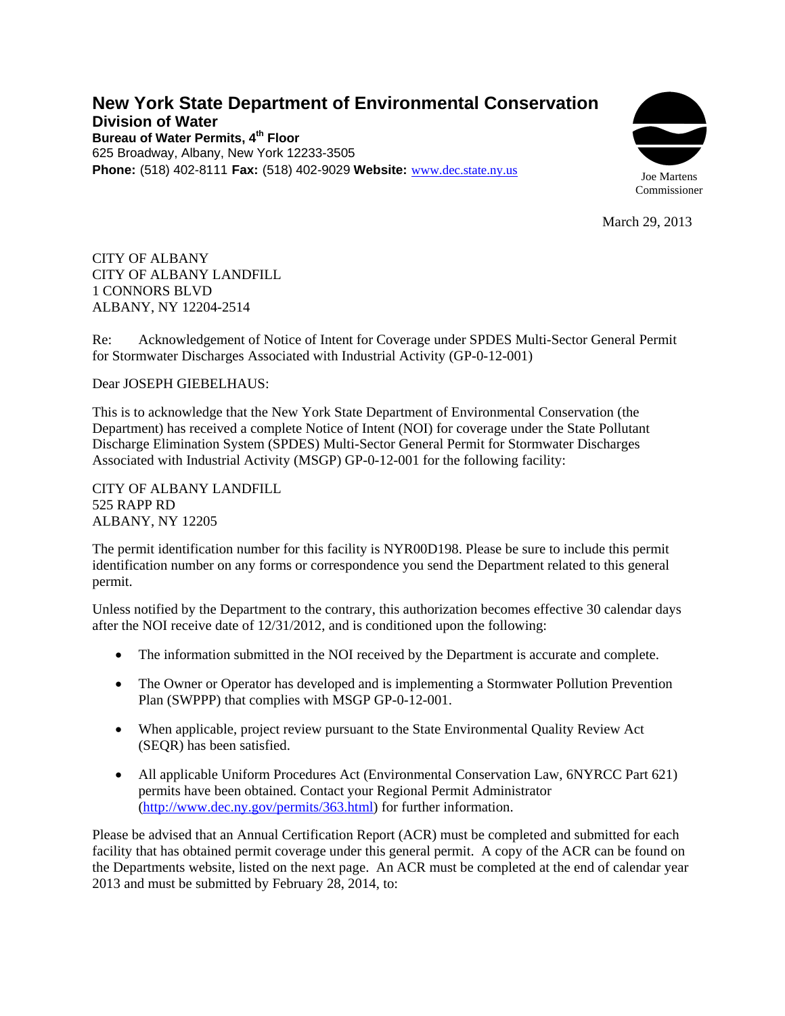## **New York State Department of Environmental Conservation Division of Water Bureau of Water Permits, 4th Floor**  625 Broadway, Albany, New York 12233-3505 **Phone:** (518) 402-8111 **Fax:** (518) 402-9029 **Website:** [www.dec.state.ny.us](http://www.dec.state.ny.us/)



March 29, 2013

CITY OF ALBANY CITY OF ALBANY LANDFILL 1 CONNORS BLVD ALBANY, NY 12204-2514

Re: Acknowledgement of Notice of Intent for Coverage under SPDES Multi-Sector General Permit for Stormwater Discharges Associated with Industrial Activity (GP-0-12-001)

## Dear JOSEPH GIEBELHAUS:

This is to acknowledge that the New York State Department of Environmental Conservation (the Department) has received a complete Notice of Intent (NOI) for coverage under the State Pollutant Discharge Elimination System (SPDES) Multi-Sector General Permit for Stormwater Discharges Associated with Industrial Activity (MSGP) GP-0-12-001 for the following facility:

CITY OF ALBANY LANDFILL 525 RAPP RD ALBANY, NY 12205

The permit identification number for this facility is NYR00D198. Please be sure to include this permit identification number on any forms or correspondence you send the Department related to this general permit.

Unless notified by the Department to the contrary, this authorization becomes effective 30 calendar days after the NOI receive date of 12/31/2012, and is conditioned upon the following:

- The information submitted in the NOI received by the Department is accurate and complete.
- The Owner or Operator has developed and is implementing a Stormwater Pollution Prevention Plan (SWPPP) that complies with MSGP GP-0-12-001.
- When applicable, project review pursuant to the State Environmental Quality Review Act (SEQR) has been satisfied.
- All applicable Uniform Procedures Act (Environmental Conservation Law, 6NYRCC Part 621) permits have been obtained. Contact your Regional Permit Administrator (http://www.dec.ny.gov/permits/363.html) for further information.

Please be advised that an Annual Certification Report (ACR) must be completed and submitted for each facility that has obtained permit coverage under this general permit. A copy of the ACR can be found on the Departments website, listed on the next page. An ACR must be completed at the end of calendar year 2013 and must be submitted by February 28, 2014, to: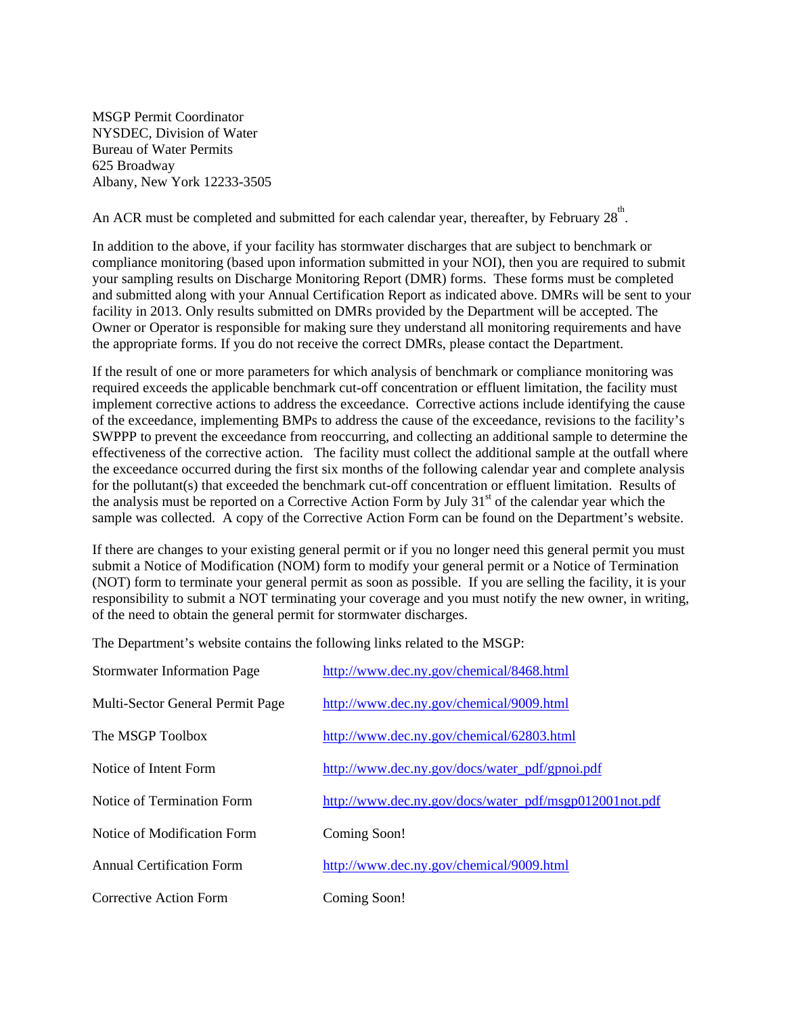MSGP Permit Coordinator NYSDEC, Division of Water Bureau of Water Permits 625 Broadway Albany, New York 12233-3505

An ACR must be completed and submitted for each calendar year, thereafter, by February  $28^{\text{th}}$ .

In addition to the above, if your facility has stormwater discharges that are subject to benchmark or compliance monitoring (based upon information submitted in your NOI), then you are required to submit your sampling results on Discharge Monitoring Report (DMR) forms. These forms must be completed and submitted along with your Annual Certification Report as indicated above. DMRs will be sent to your facility in 2013. Only results submitted on DMRs provided by the Department will be accepted. The Owner or Operator is responsible for making sure they understand all monitoring requirements and have the appropriate forms. If you do not receive the correct DMRs, please contact the Department.

If the result of one or more parameters for which analysis of benchmark or compliance monitoring was required exceeds the applicable benchmark cut-off concentration or effluent limitation, the facility must implement corrective actions to address the exceedance. Corrective actions include identifying the cause of the exceedance, implementing BMPs to address the cause of the exceedance, revisions to the facility's SWPPP to prevent the exceedance from reoccurring, and collecting an additional sample to determine the effectiveness of the corrective action. The facility must collect the additional sample at the outfall where the exceedance occurred during the first six months of the following calendar year and complete analysis for the pollutant(s) that exceeded the benchmark cut-off concentration or effluent limitation. Results of the analysis must be reported on a Corrective Action Form by July 31<sup>st</sup> of the calendar year which the sample was collected. A copy of the Corrective Action Form can be found on the Department's website.

If there are changes to your existing general permit or if you no longer need this general permit you must submit a Notice of Modification (NOM) form to modify your general permit or a Notice of Termination (NOT) form to terminate your general permit as soon as possible. If you are selling the facility, it is your responsibility to submit a NOT terminating your coverage and you must notify the new owner, in writing, of the need to obtain the general permit for stormwater discharges.

The Department's website contains the following links related to the MSGP:

| <b>Stormwater Information Page</b> | http://www.dec.ny.gov/chemical/8468.html               |
|------------------------------------|--------------------------------------------------------|
| Multi-Sector General Permit Page   | http://www.dec.ny.gov/chemical/9009.html               |
| The MSGP Toolbox                   | http://www.dec.ny.gov/chemical/62803.html              |
| Notice of Intent Form              | http://www.dec.ny.gov/docs/water_pdf/gpnoi.pdf         |
| Notice of Termination Form         | http://www.dec.ny.gov/docs/water_pdf/msgp012001not.pdf |
| Notice of Modification Form        | Coming Soon!                                           |
| <b>Annual Certification Form</b>   | http://www.dec.ny.gov/chemical/9009.html               |
| Corrective Action Form             | Coming Soon!                                           |